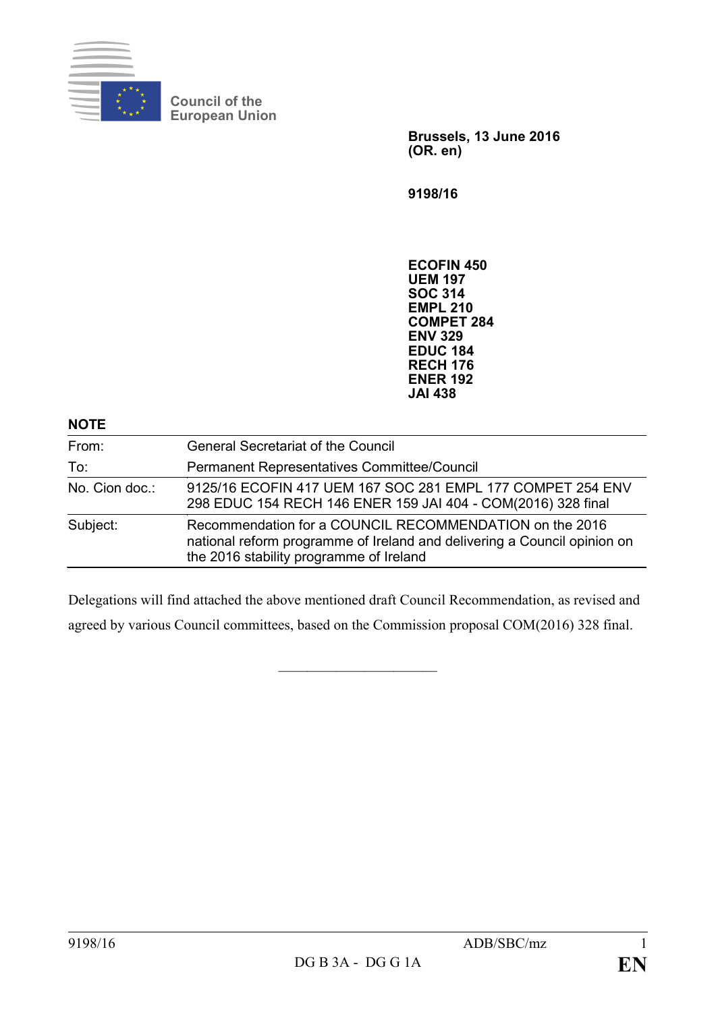

**Council of the European Union**

> **Brussels, 13 June 2016 (OR. en)**

**9198/16**

**ECOFIN 450 UEM 197 SOC 314 EMPL 210 COMPET 284 ENV 329 EDUC 184 RECH 176 ENER 192 JAI 438**

| <b>NOTE</b>    |                                                                                                                                                                                |
|----------------|--------------------------------------------------------------------------------------------------------------------------------------------------------------------------------|
| From:          | <b>General Secretariat of the Council</b>                                                                                                                                      |
| To:            | Permanent Representatives Committee/Council                                                                                                                                    |
| No. Cion doc.: | 9125/16 ECOFIN 417 UEM 167 SOC 281 EMPL 177 COMPET 254 ENV<br>298 EDUC 154 RECH 146 ENER 159 JAI 404 - COM(2016) 328 final                                                     |
| Subject:       | Recommendation for a COUNCIL RECOMMENDATION on the 2016<br>national reform programme of Ireland and delivering a Council opinion on<br>the 2016 stability programme of Ireland |

Delegations will find attached the above mentioned draft Council Recommendation, as revised and agreed by various Council committees, based on the Commission proposal COM(2016) 328 final.

 $\overline{\phantom{a}}$  , which is a set of the set of the set of the set of the set of the set of the set of the set of the set of the set of the set of the set of the set of the set of the set of the set of the set of the set of th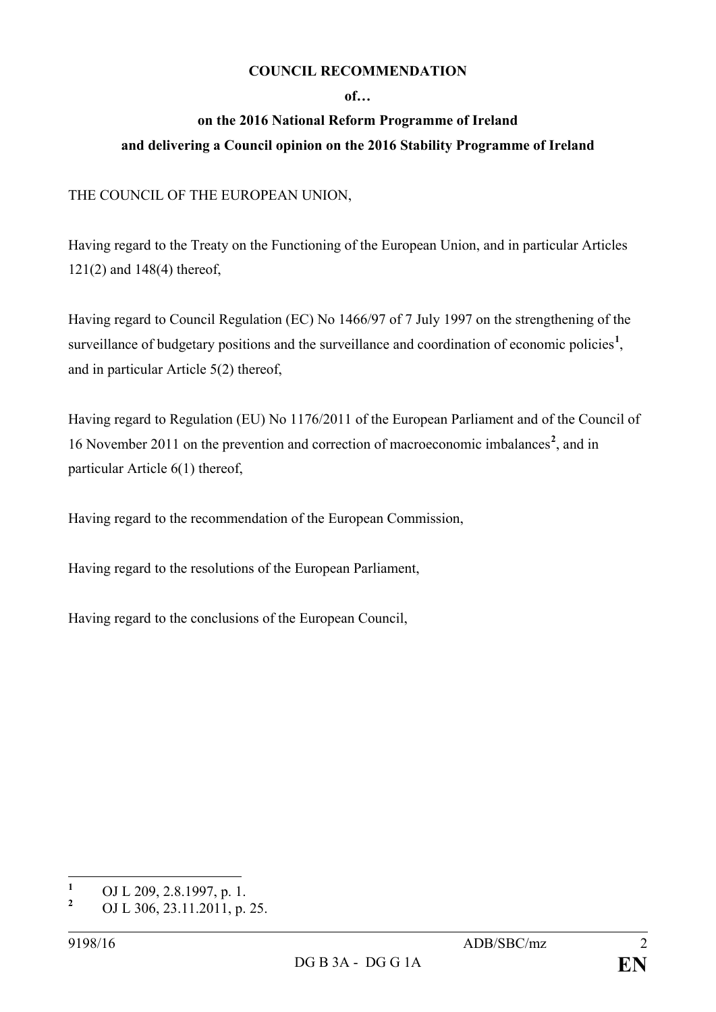## **COUNCIL RECOMMENDATION**

## **of…**

## **on the 2016 National Reform Programme of Ireland and delivering a Council opinion on the 2016 Stability Programme of Ireland**

## THE COUNCIL OF THE EUROPEAN UNION,

Having regard to the Treaty on the Functioning of the European Union, and in particular Articles 121(2) and 148(4) thereof,

Having regard to Council Regulation (EC) No 1466/97 of 7 July 1997 on the strengthening of the surveillance of budgetary positions and the surveillance and coordination of economic policies<sup>[1](#page-1-0)</sup>, and in particular Article 5(2) thereof,

Having regard to Regulation (EU) No 1176/2011 of the European Parliament and of the Council of 16 November 2011 on the prevention and correction of macroeconomic imbalances**[2](#page-1-1)** , and in particular Article 6(1) thereof,

Having regard to the recommendation of the European Commission,

Having regard to the resolutions of the European Parliament,

Having regard to the conclusions of the European Council,

<span id="page-1-0"></span>**<sup>1</sup>** OJ L 209, 2.8.1997, p. 1.

<span id="page-1-1"></span>**<sup>2</sup>** OJ L 306, 23.11.2011, p. 25.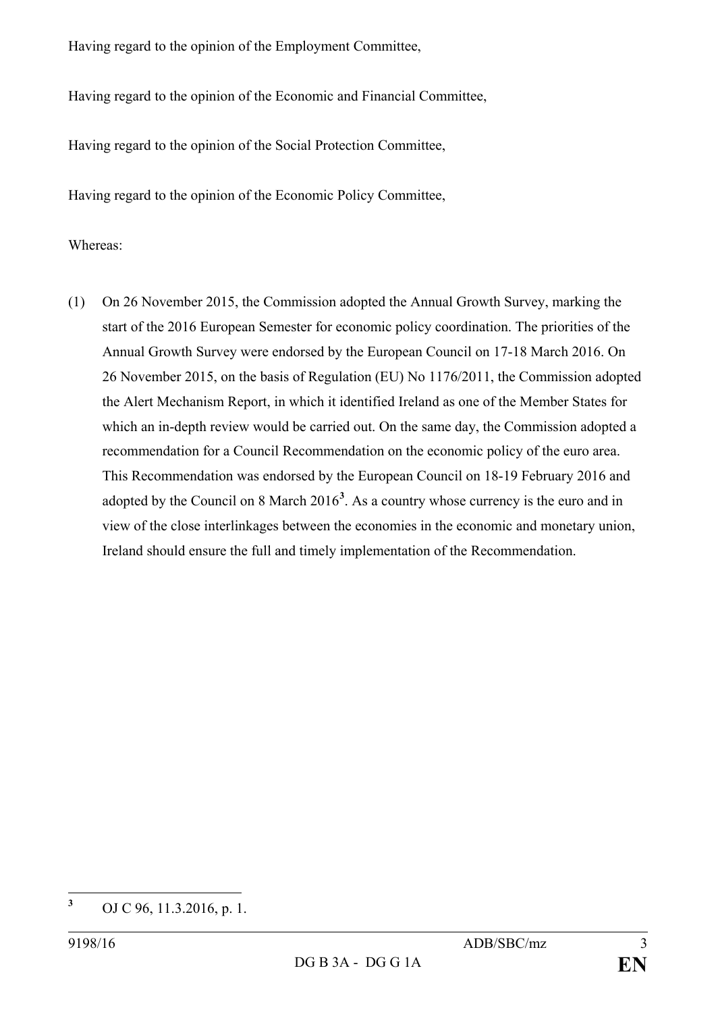Having regard to the opinion of the Employment Committee,

Having regard to the opinion of the Economic and Financial Committee,

Having regard to the opinion of the Social Protection Committee,

Having regard to the opinion of the Economic Policy Committee,

Whereas:

(1) On 26 November 2015, the Commission adopted the Annual Growth Survey, marking the start of the 2016 European Semester for economic policy coordination. The priorities of the Annual Growth Survey were endorsed by the European Council on 17-18 March 2016. On 26 November 2015, on the basis of Regulation (EU) No 1176/2011, the Commission adopted the Alert Mechanism Report, in which it identified Ireland as one of the Member States for which an in-depth review would be carried out. On the same day, the Commission adopted a recommendation for a Council Recommendation on the economic policy of the euro area. This Recommendation was endorsed by the European Council on 18-19 February 2016 and adopted by the Council on 8 March 2016**[3](#page-2-0)** . As a country whose currency is the euro and in view of the close interlinkages between the economies in the economic and monetary union, Ireland should ensure the full and timely implementation of the Recommendation.

<span id="page-2-0"></span>**<sup>3</sup>** OJ C 96, 11.3.2016, p. 1.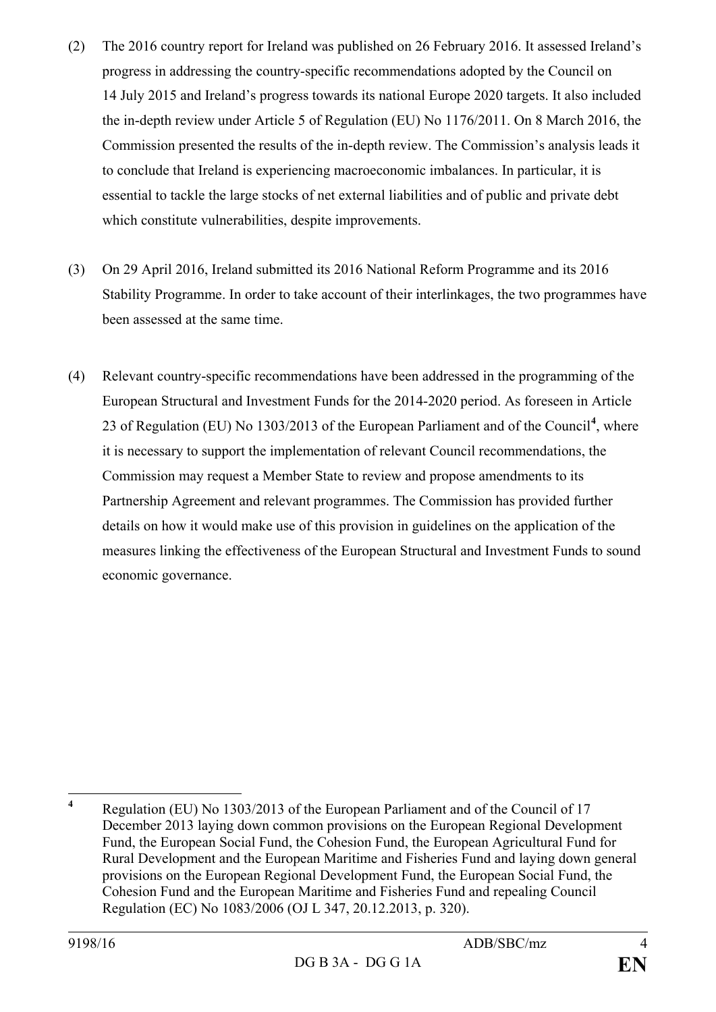- (2) The 2016 country report for Ireland was published on 26 February 2016. It assessed Ireland's progress in addressing the country-specific recommendations adopted by the Council on 14 July 2015 and Ireland's progress towards its national Europe 2020 targets. It also included the in-depth review under Article 5 of Regulation (EU) No 1176/2011. On 8 March 2016, the Commission presented the results of the in-depth review. The Commission's analysis leads it to conclude that Ireland is experiencing macroeconomic imbalances. In particular, it is essential to tackle the large stocks of net external liabilities and of public and private debt which constitute vulnerabilities, despite improvements.
- (3) On 29 April 2016, Ireland submitted its 2016 National Reform Programme and its 2016 Stability Programme. In order to take account of their interlinkages, the two programmes have been assessed at the same time.
- (4) Relevant country-specific recommendations have been addressed in the programming of the European Structural and Investment Funds for the 2014-2020 period. As foreseen in Article 23 of Regulation (EU) No 1303/2013 of the European Parliament and of the Council**[4](#page-3-0)** , where it is necessary to support the implementation of relevant Council recommendations, the Commission may request a Member State to review and propose amendments to its Partnership Agreement and relevant programmes. The Commission has provided further details on how it would make use of this provision in guidelines on the application of the measures linking the effectiveness of the European Structural and Investment Funds to sound economic governance.

<span id="page-3-0"></span>**<sup>4</sup>** Regulation (EU) No 1303/2013 of the European Parliament and of the Council of 17 December 2013 laying down common provisions on the European Regional Development Fund, the European Social Fund, the Cohesion Fund, the European Agricultural Fund for Rural Development and the European Maritime and Fisheries Fund and laying down general provisions on the European Regional Development Fund, the European Social Fund, the Cohesion Fund and the European Maritime and Fisheries Fund and repealing Council Regulation (EC) No 1083/2006 (OJ L 347, 20.12.2013, p. 320).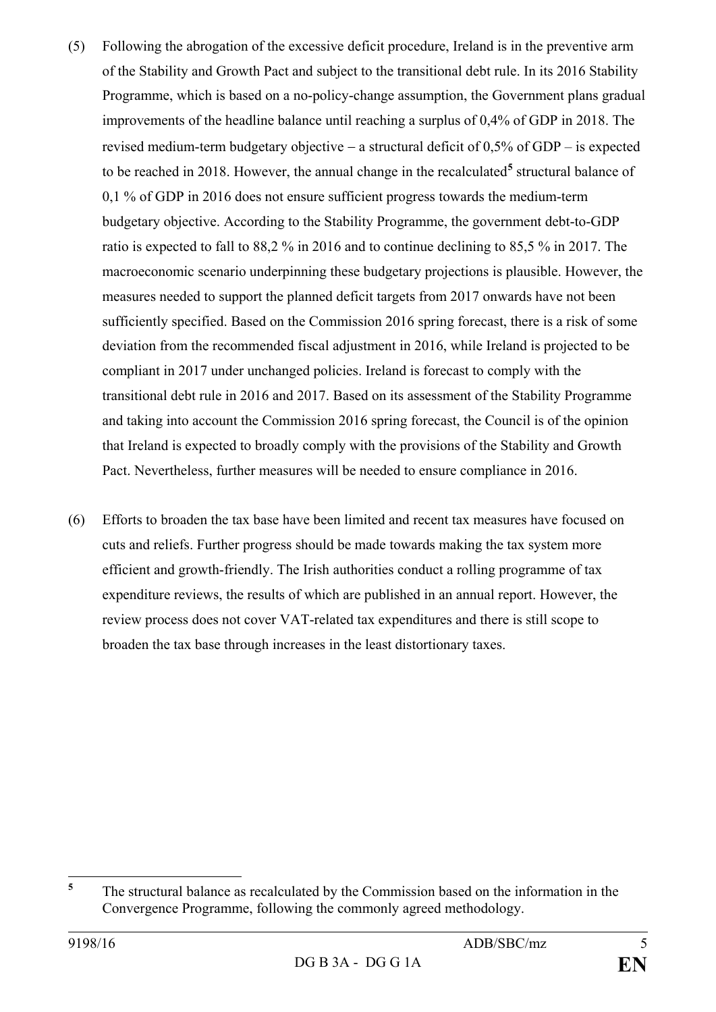- (5) Following the abrogation of the excessive deficit procedure, Ireland is in the preventive arm of the Stability and Growth Pact and subject to the transitional debt rule. In its 2016 Stability Programme, which is based on a no-policy-change assumption, the Government plans gradual improvements of the headline balance until reaching a surplus of 0,4% of GDP in 2018. The revised medium-term budgetary objective − a structural deficit of 0,5% of GDP – is expected to be reached in 2018. However, the annual change in the recalculated**[5](#page-4-0)** structural balance of 0,1 % of GDP in 2016 does not ensure sufficient progress towards the medium-term budgetary objective. According to the Stability Programme, the government debt-to-GDP ratio is expected to fall to 88,2 % in 2016 and to continue declining to 85,5 % in 2017. The macroeconomic scenario underpinning these budgetary projections is plausible. However, the measures needed to support the planned deficit targets from 2017 onwards have not been sufficiently specified. Based on the Commission 2016 spring forecast, there is a risk of some deviation from the recommended fiscal adjustment in 2016, while Ireland is projected to be compliant in 2017 under unchanged policies. Ireland is forecast to comply with the transitional debt rule in 2016 and 2017. Based on its assessment of the Stability Programme and taking into account the Commission 2016 spring forecast, the Council is of the opinion that Ireland is expected to broadly comply with the provisions of the Stability and Growth Pact. Nevertheless, further measures will be needed to ensure compliance in 2016.
- (6) Efforts to broaden the tax base have been limited and recent tax measures have focused on cuts and reliefs. Further progress should be made towards making the tax system more efficient and growth-friendly. The Irish authorities conduct a rolling programme of tax expenditure reviews, the results of which are published in an annual report. However, the review process does not cover VAT-related tax expenditures and there is still scope to broaden the tax base through increases in the least distortionary taxes.

<span id="page-4-0"></span>**<sup>5</sup>** The structural balance as recalculated by the Commission based on the information in the Convergence Programme, following the commonly agreed methodology.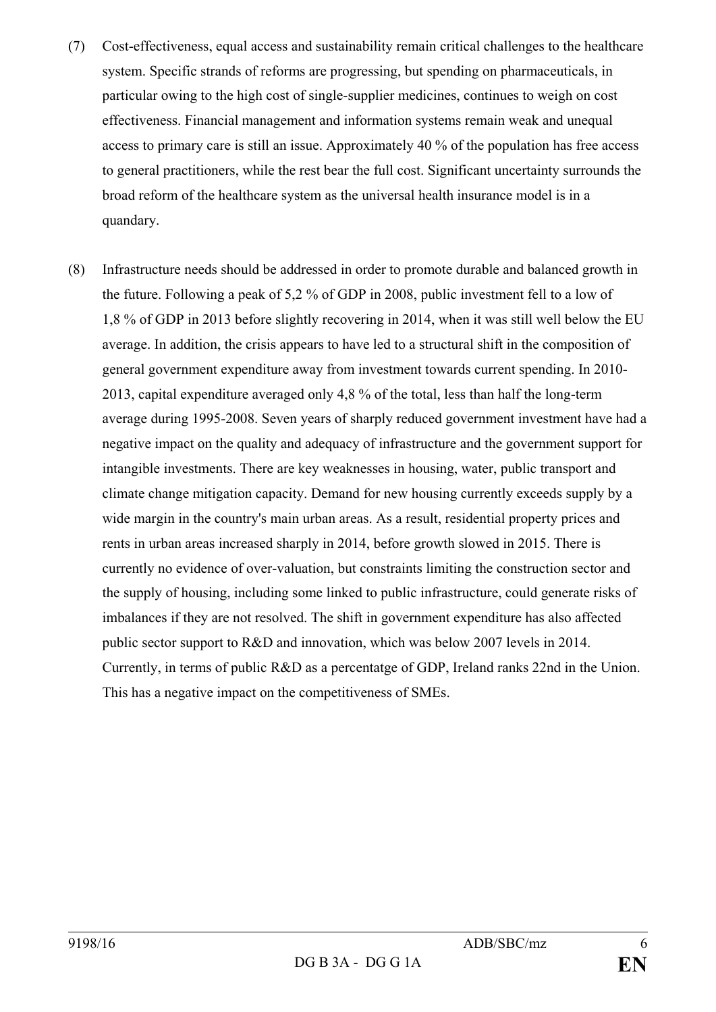- (7) Cost-effectiveness, equal access and sustainability remain critical challenges to the healthcare system. Specific strands of reforms are progressing, but spending on pharmaceuticals, in particular owing to the high cost of single-supplier medicines, continues to weigh on cost effectiveness. Financial management and information systems remain weak and unequal access to primary care is still an issue. Approximately 40 % of the population has free access to general practitioners, while the rest bear the full cost. Significant uncertainty surrounds the broad reform of the healthcare system as the universal health insurance model is in a quandary.
- (8) Infrastructure needs should be addressed in order to promote durable and balanced growth in the future. Following a peak of 5,2 % of GDP in 2008, public investment fell to a low of 1,8 % of GDP in 2013 before slightly recovering in 2014, when it was still well below the EU average. In addition, the crisis appears to have led to a structural shift in the composition of general government expenditure away from investment towards current spending. In 2010- 2013, capital expenditure averaged only 4,8 % of the total, less than half the long-term average during 1995-2008. Seven years of sharply reduced government investment have had a negative impact on the quality and adequacy of infrastructure and the government support for intangible investments. There are key weaknesses in housing, water, public transport and climate change mitigation capacity. Demand for new housing currently exceeds supply by a wide margin in the country's main urban areas. As a result, residential property prices and rents in urban areas increased sharply in 2014, before growth slowed in 2015. There is currently no evidence of over-valuation, but constraints limiting the construction sector and the supply of housing, including some linked to public infrastructure, could generate risks of imbalances if they are not resolved. The shift in government expenditure has also affected public sector support to R&D and innovation, which was below 2007 levels in 2014. Currently, in terms of public R&D as a percentatge of GDP, Ireland ranks 22nd in the Union. This has a negative impact on the competitiveness of SMEs.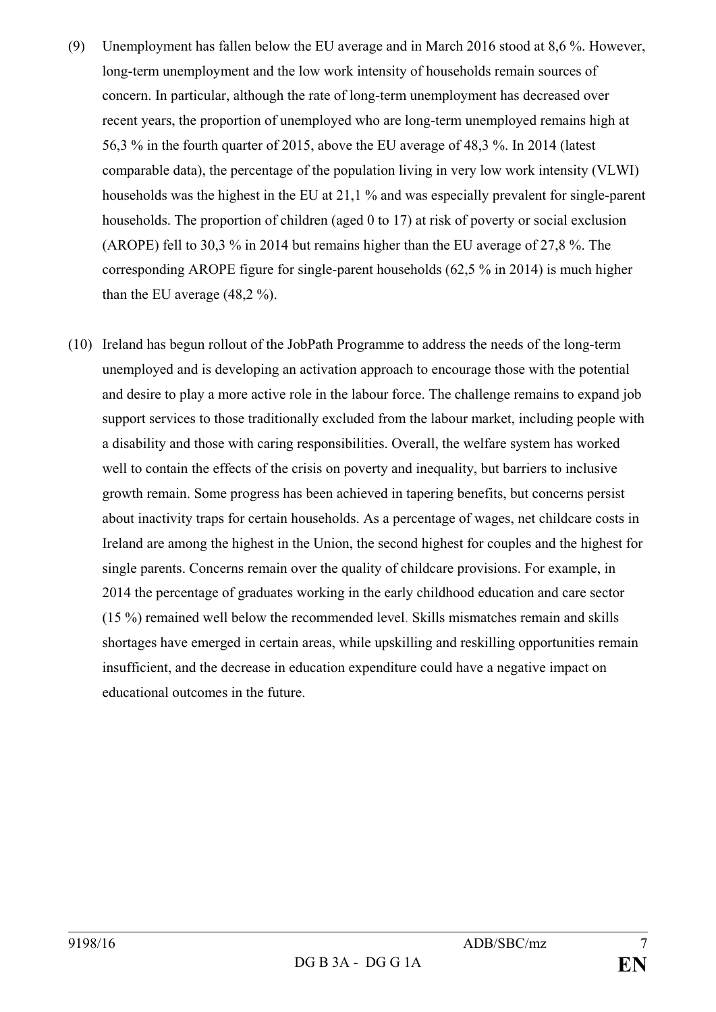- (9) Unemployment has fallen below the EU average and in March 2016 stood at 8,6 %. However, long-term unemployment and the low work intensity of households remain sources of concern. In particular, although the rate of long-term unemployment has decreased over recent years, the proportion of unemployed who are long-term unemployed remains high at 56,3 % in the fourth quarter of 2015, above the EU average of 48,3 %. In 2014 (latest comparable data), the percentage of the population living in very low work intensity (VLWI) households was the highest in the EU at 21,1 % and was especially prevalent for single-parent households. The proportion of children (aged 0 to 17) at risk of poverty or social exclusion (AROPE) fell to 30,3 % in 2014 but remains higher than the EU average of 27,8 %. The corresponding AROPE figure for single-parent households (62,5 % in 2014) is much higher than the EU average (48,2 %).
- (10) Ireland has begun rollout of the JobPath Programme to address the needs of the long-term unemployed and is developing an activation approach to encourage those with the potential and desire to play a more active role in the labour force. The challenge remains to expand job support services to those traditionally excluded from the labour market, including people with a disability and those with caring responsibilities. Overall, the welfare system has worked well to contain the effects of the crisis on poverty and inequality, but barriers to inclusive growth remain. Some progress has been achieved in tapering benefits, but concerns persist about inactivity traps for certain households. As a percentage of wages, net childcare costs in Ireland are among the highest in the Union, the second highest for couples and the highest for single parents. Concerns remain over the quality of childcare provisions. For example, in 2014 the percentage of graduates working in the early childhood education and care sector (15 %) remained well below the recommended level. Skills mismatches remain and skills shortages have emerged in certain areas, while upskilling and reskilling opportunities remain insufficient, and the decrease in education expenditure could have a negative impact on educational outcomes in the future.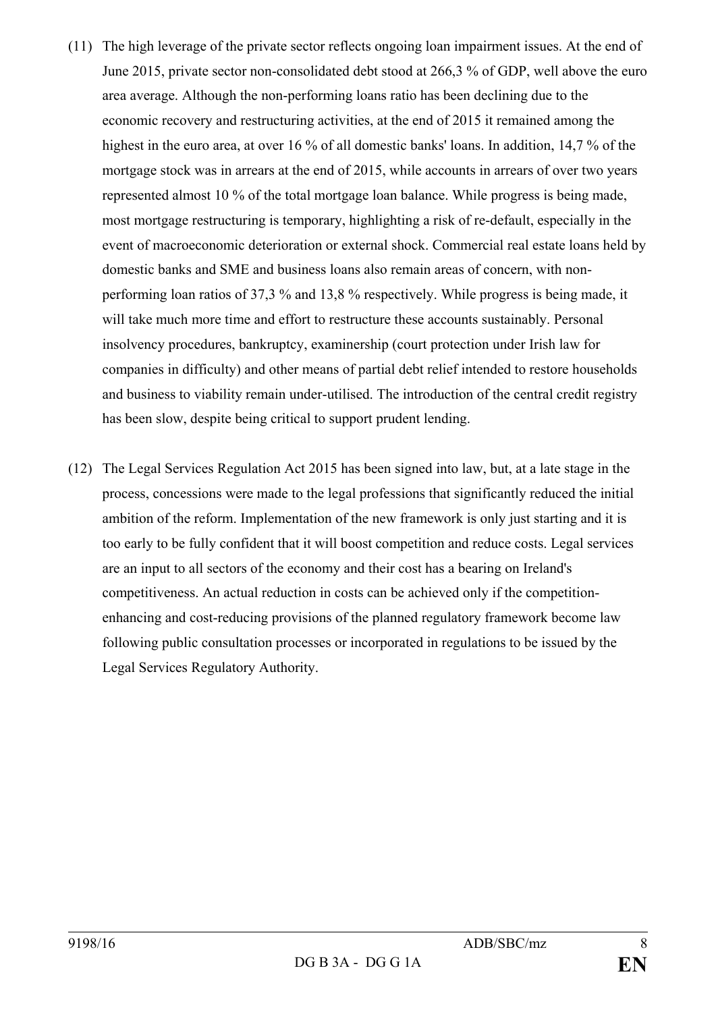- (11) The high leverage of the private sector reflects ongoing loan impairment issues. At the end of June 2015, private sector non-consolidated debt stood at 266,3 % of GDP, well above the euro area average. Although the non-performing loans ratio has been declining due to the economic recovery and restructuring activities, at the end of 2015 it remained among the highest in the euro area, at over 16 % of all domestic banks' loans. In addition, 14,7 % of the mortgage stock was in arrears at the end of 2015, while accounts in arrears of over two years represented almost 10 % of the total mortgage loan balance. While progress is being made, most mortgage restructuring is temporary, highlighting a risk of re-default, especially in the event of macroeconomic deterioration or external shock. Commercial real estate loans held by domestic banks and SME and business loans also remain areas of concern, with nonperforming loan ratios of 37,3 % and 13,8 % respectively. While progress is being made, it will take much more time and effort to restructure these accounts sustainably. Personal insolvency procedures, bankruptcy, examinership (court protection under Irish law for companies in difficulty) and other means of partial debt relief intended to restore households and business to viability remain under-utilised. The introduction of the central credit registry has been slow, despite being critical to support prudent lending.
- (12) The Legal Services Regulation Act 2015 has been signed into law, but, at a late stage in the process, concessions were made to the legal professions that significantly reduced the initial ambition of the reform. Implementation of the new framework is only just starting and it is too early to be fully confident that it will boost competition and reduce costs. Legal services are an input to all sectors of the economy and their cost has a bearing on Ireland's competitiveness. An actual reduction in costs can be achieved only if the competitionenhancing and cost-reducing provisions of the planned regulatory framework become law following public consultation processes or incorporated in regulations to be issued by the Legal Services Regulatory Authority.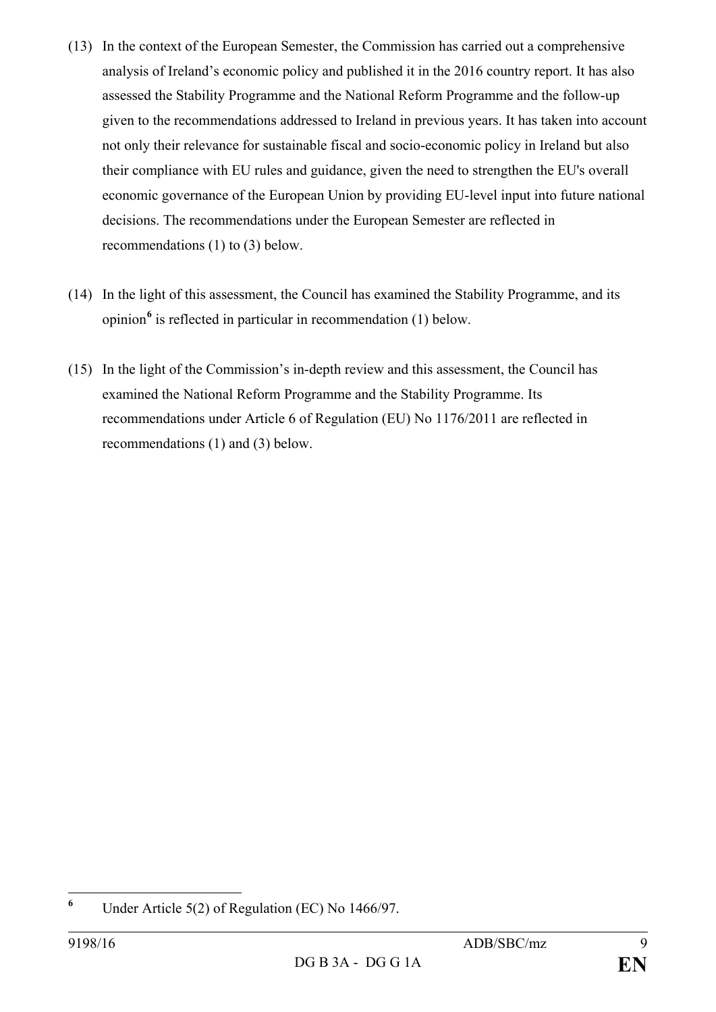- (13) In the context of the European Semester, the Commission has carried out a comprehensive analysis of Ireland's economic policy and published it in the 2016 country report. It has also assessed the Stability Programme and the National Reform Programme and the follow-up given to the recommendations addressed to Ireland in previous years. It has taken into account not only their relevance for sustainable fiscal and socio-economic policy in Ireland but also their compliance with EU rules and guidance, given the need to strengthen the EU's overall economic governance of the European Union by providing EU-level input into future national decisions. The recommendations under the European Semester are reflected in recommendations (1) to (3) below.
- (14) In the light of this assessment, the Council has examined the Stability Programme, and its opinion**[6](#page-8-0)** is reflected in particular in recommendation (1) below.
- (15) In the light of the Commission's in-depth review and this assessment, the Council has examined the National Reform Programme and the Stability Programme. Its recommendations under Article 6 of Regulation (EU) No 1176/2011 are reflected in recommendations (1) and (3) below.

<span id="page-8-0"></span>**<sup>6</sup>** Under Article 5(2) of Regulation (EC) No 1466/97.